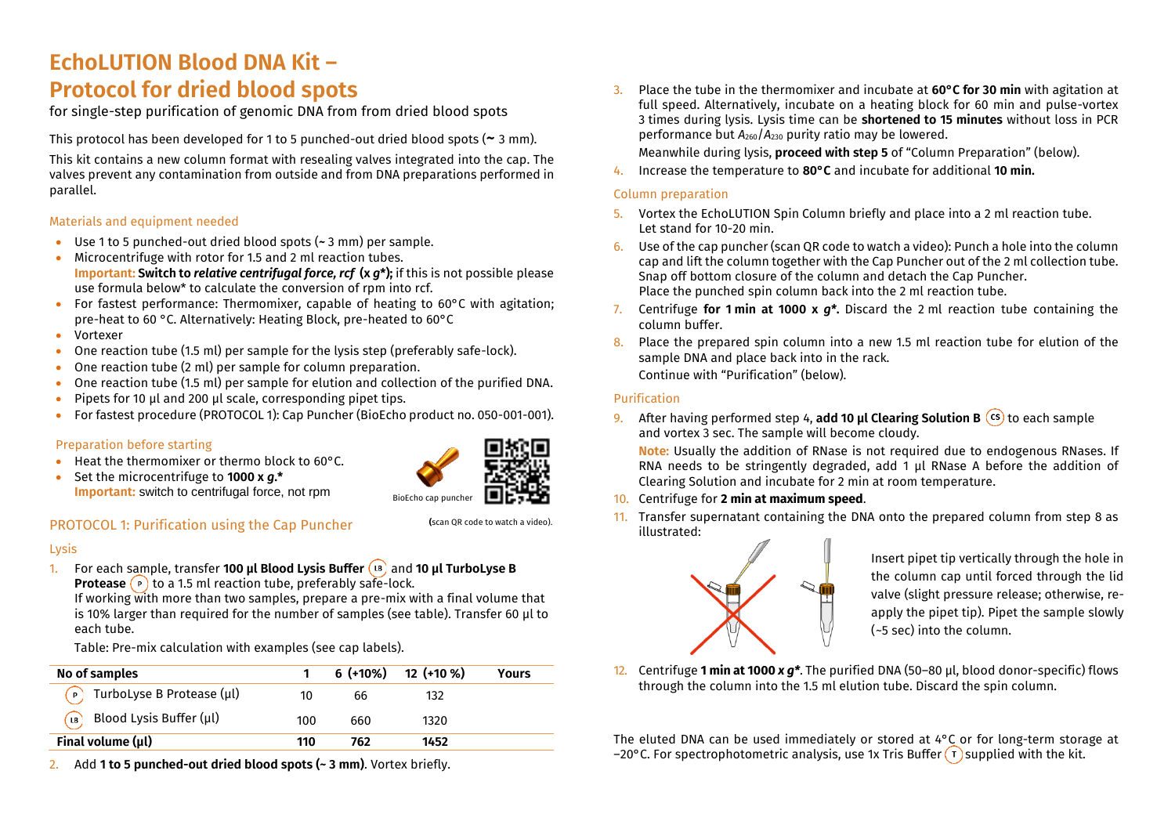# **EchoLUTION Blood DNA Kit – Protocol for dried blood spots**

for single-step purification of genomic DNA from from dried blood spots

This protocol has been developed for 1 to 5 punched-out dried blood spots (**~** 3 mm).

This kit contains a new column format with resealing valves integrated into the cap. The valves prevent any contamination from outside and from DNA preparations performed in parallel.

# Materials and equipment needed

- Use 1 to 5 punched-out dried blood spots (**~** 3 mm) per sample.
- Microcentrifuge with rotor for 1.5 and 2 ml reaction tubes. **Important: Switch to** *relative centrifugal force, rcf* **(x** *g***\*);** if this is not possible please use formula below\* to calculate the conversion of rpm into rcf.
- For fastest performance: Thermomixer, capable of heating to 60°C with agitation; pre-heat to 60 °C. Alternatively: Heating Block, pre-heated to 60°C
- Vortexer
- One reaction tube (1.5 ml) per sample for the lysis step (preferably safe-lock).
- One reaction tube (2 ml) per sample for column preparation.
- One reaction tube (1.5 ml) per sample for elution and collection of the purified DNA.
- Pipets for 10 µl and 200 µl scale, corresponding pipet tips.
- For fastest procedure (PROTOCOL 1): Cap Puncher (BioEcho product no. 050-001-001).

# Preparation before starting

- Heat the thermomixer or thermo block to 60°C.
- Set the microcentrifuge to **1000 x** *g***.\* Important:** switch to centrifugal force, not rpm



**(**scan QR code to watch a video).

# PROTOCOL 1: Purification using the Cap Puncher

#### Lysis

1. For each sample, transfer **100 µl Blood Lysis Buffer** (B) and **10 µl TurboLyse B Protease** (**p**) to a 1.5 ml reaction tube, preferably safe-lock.

If working with more than two samples, prepare a pre-mix with a final volume that is 10% larger than required for the number of samples (see table). Transfer 60 µl to each tube.

Table: Pre-mix calculation with examples (see cap labels).

| No of samples                            |     | $6$ (+10%) | 12 (+10 %) | Yours |
|------------------------------------------|-----|------------|------------|-------|
| $\binom{p}{r}$ TurboLyse B Protease (µl) | 10  | 66         | 132        |       |
| <b>B</b> Blood Lysis Buffer (µl)         | 100 | 660        | 1320       |       |
| Final volume $(\mu l)$                   | 110 | 762        | 1452       |       |

2. Add **1 to 5 punched-out dried blood spots (~ 3 mm)**. Vortex briefly.

- 3. Place the tube in the thermomixer and incubate at **60°C for 30 min** with agitation at full speed. Alternatively, incubate on a heating block for 60 min and pulse-vortex 3 times during lysis. Lysis time can be **shortened to 15 minutes** without loss in PCR performance but *A*260/*A*<sup>230</sup> purity ratio may be lowered.
	- Meanwhile during lysis, **proceed with step 5** of "Column Preparation" (below).
- 4. Increase the temperature to **80°C** and incubate for additional **10 min.**

## Column preparation

- 5. Vortex the EchoLUTION Spin Column briefly and place into a 2 ml reaction tube. Let stand for 10-20 min.
- 6. Use of the cap puncher (scan QR code to watch a video): Punch a hole into the column cap and lift the column together with the Cap Puncher out of the 2 ml collection tube. Snap off bottom closure of the column and detach the Cap Puncher. Place the punched spin column back into the 2 ml reaction tube.
- 7. Centrifuge **for 1 min at 1000 x** *g\****.** Discard the 2 ml reaction tube containing the column buffer.
- 8. Place the prepared spin column into a new 1.5 ml reaction tube for elution of the sample DNA and place back into in the rack. Continue with "Purification" (below).

# Purification

9. After having performed step 4, add 10 **µl Clearing Solution B** (cs) to each sample and vortex 3 sec. The sample will become cloudy.

**Note:** Usually the addition of RNase is not required due to endogenous RNases. If RNA needs to be stringently degraded, add 1 µl RNase A before the addition of Clearing Solution and incubate for 2 min at room temperature.

- 10. Centrifuge for **2 min at maximum speed**.
- 11. Transfer supernatant containing the DNA onto the prepared column from step 8 as illustrated:



Insert pipet tip vertically through the hole in the column cap until forced through the lid valve (slight pressure release; otherwise, reapply the pipet tip). Pipet the sample slowly (~5 sec) into the column.

12. Centrifuge **1 min at 1000** *x g\**. The purified DNA (50–80 µl, blood donor-specific) flows through the column into the 1.5 ml elution tube. Discard the spin column.

The eluted DNA can be used immediately or stored at 4°C or for long-term storage at –20°C. For spectrophotometric analysis, use 1x Tris Buffer  $(\tau)$  supplied with the kit.